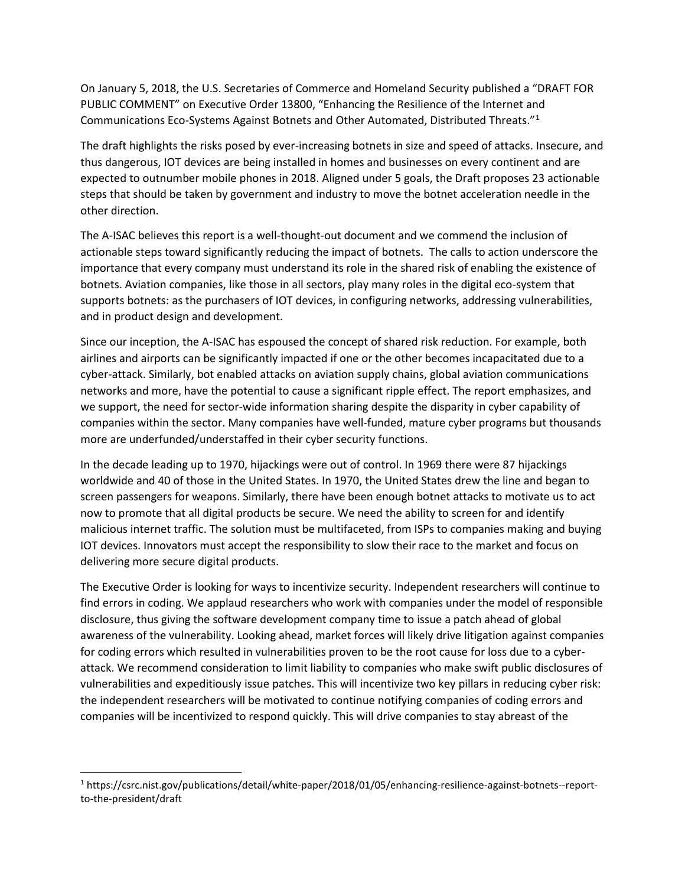On January 5, 2018, the U.S. Secretaries of Commerce and Homeland Security published a "DRAFT FOR PUBLIC COMMENT" on Executive Order 13800, "Enhancing the Resilience of the Internet and Communications Eco-Systems Against Botnets and Other Automated, Distributed Threats."[1](#page-0-0)

The draft highlights the risks posed by ever-increasing botnets in size and speed of attacks. Insecure, and thus dangerous, IOT devices are being installed in homes and businesses on every continent and are expected to outnumber mobile phones in 2018. Aligned under 5 goals, the Draft proposes 23 actionable steps that should be taken by government and industry to move the botnet acceleration needle in the other direction.

The A-ISAC believes this report is a well-thought-out document and we commend the inclusion of actionable steps toward significantly reducing the impact of botnets. The calls to action underscore the importance that every company must understand its role in the shared risk of enabling the existence of botnets. Aviation companies, like those in all sectors, play many roles in the digital eco-system that supports botnets: as the purchasers of IOT devices, in configuring networks, addressing vulnerabilities, and in product design and development.

Since our inception, the A-ISAC has espoused the concept of shared risk reduction. For example, both airlines and airports can be significantly impacted if one or the other becomes incapacitated due to a cyber-attack. Similarly, bot enabled attacks on aviation supply chains, global aviation communications networks and more, have the potential to cause a significant ripple effect. The report emphasizes, and we support, the need for sector-wide information sharing despite the disparity in cyber capability of companies within the sector. Many companies have well-funded, mature cyber programs but thousands more are underfunded/understaffed in their cyber security functions.

In the decade leading up to 1970, hijackings were out of control. In 1969 there were 87 hijackings worldwide and 40 of those in the United States. In 1970, the United States drew the line and began to screen passengers for weapons. Similarly, there have been enough botnet attacks to motivate us to act now to promote that all digital products be secure. We need the ability to screen for and identify malicious internet traffic. The solution must be multifaceted, from ISPs to companies making and buying IOT devices. Innovators must accept the responsibility to slow their race to the market and focus on delivering more secure digital products.

The Executive Order is looking for ways to incentivize security. Independent researchers will continue to find errors in coding. We applaud researchers who work with companies under the model of responsible disclosure, thus giving the software development company time to issue a patch ahead of global awareness of the vulnerability. Looking ahead, market forces will likely drive litigation against companies for coding errors which resulted in vulnerabilities proven to be the root cause for loss due to a cyberattack. We recommend consideration to limit liability to companies who make swift public disclosures of vulnerabilities and expeditiously issue patches. This will incentivize two key pillars in reducing cyber risk: the independent researchers will be motivated to continue notifying companies of coding errors and companies will be incentivized to respond quickly. This will drive companies to stay abreast of the

<span id="page-0-0"></span> <sup>1</sup> https://csrc.nist.gov/publications/detail/white-paper/2018/01/05/enhancing-resilience-against-botnets--reportto-the-president/draft